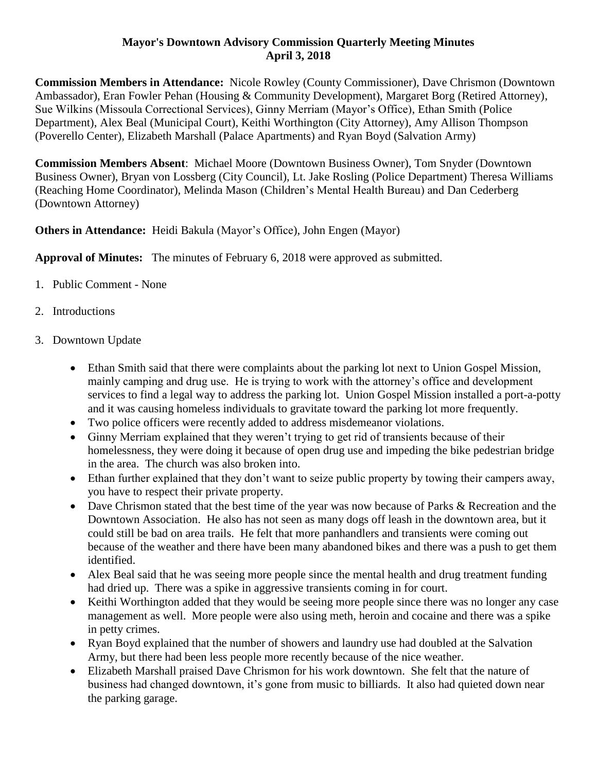## **Mayor's Downtown Advisory Commission Quarterly Meeting Minutes April 3, 2018**

**Commission Members in Attendance:** Nicole Rowley (County Commissioner), Dave Chrismon (Downtown Ambassador), Eran Fowler Pehan (Housing & Community Development), Margaret Borg (Retired Attorney), Sue Wilkins (Missoula Correctional Services), Ginny Merriam (Mayor's Office), Ethan Smith (Police Department), Alex Beal (Municipal Court), Keithi Worthington (City Attorney), Amy Allison Thompson (Poverello Center), Elizabeth Marshall (Palace Apartments) and Ryan Boyd (Salvation Army)

**Commission Members Absent**: Michael Moore (Downtown Business Owner), Tom Snyder (Downtown Business Owner), Bryan von Lossberg (City Council), Lt. Jake Rosling (Police Department) Theresa Williams (Reaching Home Coordinator), Melinda Mason (Children's Mental Health Bureau) and Dan Cederberg (Downtown Attorney)

**Others in Attendance:** Heidi Bakula (Mayor's Office), John Engen (Mayor)

**Approval of Minutes:** The minutes of February 6, 2018 were approved as submitted.

- 1. Public Comment None
- 2. Introductions
- 3. Downtown Update
	- Ethan Smith said that there were complaints about the parking lot next to Union Gospel Mission, mainly camping and drug use. He is trying to work with the attorney's office and development services to find a legal way to address the parking lot. Union Gospel Mission installed a port-a-potty and it was causing homeless individuals to gravitate toward the parking lot more frequently.
	- Two police officers were recently added to address misdemeanor violations.
	- Ginny Merriam explained that they weren't trying to get rid of transients because of their homelessness, they were doing it because of open drug use and impeding the bike pedestrian bridge in the area. The church was also broken into.
	- Ethan further explained that they don't want to seize public property by towing their campers away, you have to respect their private property.
	- Dave Chrismon stated that the best time of the year was now because of Parks & Recreation and the Downtown Association. He also has not seen as many dogs off leash in the downtown area, but it could still be bad on area trails. He felt that more panhandlers and transients were coming out because of the weather and there have been many abandoned bikes and there was a push to get them identified.
	- Alex Beal said that he was seeing more people since the mental health and drug treatment funding had dried up. There was a spike in aggressive transients coming in for court.
	- Keithi Worthington added that they would be seeing more people since there was no longer any case management as well. More people were also using meth, heroin and cocaine and there was a spike in petty crimes.
	- Ryan Boyd explained that the number of showers and laundry use had doubled at the Salvation Army, but there had been less people more recently because of the nice weather.
	- Elizabeth Marshall praised Dave Chrismon for his work downtown. She felt that the nature of business had changed downtown, it's gone from music to billiards. It also had quieted down near the parking garage.